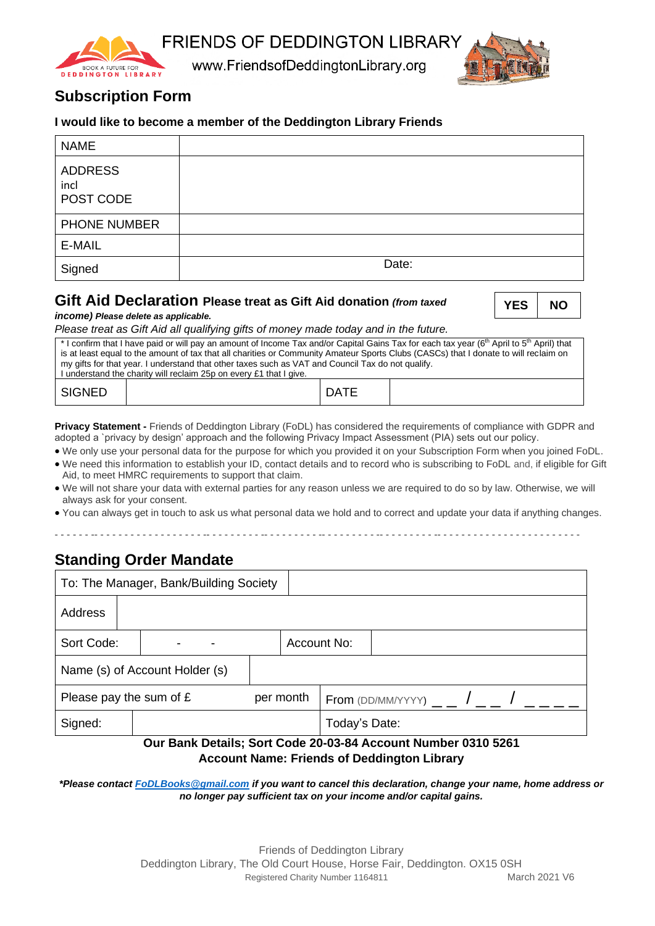**FRIENDS OF DEDDINGTON LIBRARY** 



www.FriendsofDeddingtonLibrary.org



# **Subscription Form**

### **I would like to become a member of the Deddington Library Friends**

| <b>NAME</b>                         |       |
|-------------------------------------|-------|
| <b>ADDRESS</b><br>incl<br>POST CODE |       |
| <b>PHONE NUMBER</b>                 |       |
| E-MAIL                              |       |
| Signed                              | Date: |

### **Gift Aid Declaration Please treat as Gift Aid donation (from ta.**

*income) Please delete as applicable.*

| xed | <b>YES</b> | <b>NO</b> |
|-----|------------|-----------|
|     |            |           |

*Please treat as Gift Aid all qualifying gifts of money made today and in the future.*

| * I confirm that I have paid or will pay an amount of Income Tax and/or Capital Gains Tax for each tax year (6 <sup>th</sup> April to 5 <sup>th</sup> April) that |  |             |  |  |  |
|-------------------------------------------------------------------------------------------------------------------------------------------------------------------|--|-------------|--|--|--|
| is at least equal to the amount of tax that all charities or Community Amateur Sports Clubs (CASCs) that I donate to will reclaim on                              |  |             |  |  |  |
| my gifts for that year. I understand that other taxes such as VAT and Council Tax do not qualify.                                                                 |  |             |  |  |  |
| I understand the charity will reclaim 25p on every £1 that I give.                                                                                                |  |             |  |  |  |
| SIGNED                                                                                                                                                            |  | <b>DATE</b> |  |  |  |

**Privacy Statement -** Friends of Deddington Library (FoDL) has considered the requirements of compliance with GDPR and adopted a `privacy by design' approach and the following Privacy Impact Assessment (PIA) sets out our policy.

• We only use your personal data for the purpose for which you provided it on your Subscription Form when you joined FoDL.

- We need this information to establish your ID, contact details and to record who is subscribing to FoDL and, if eligible for Gift Aid, to meet HMRC requirements to support that claim.
- We will not share your data with external parties for any reason unless we are required to do so by law. Otherwise, we will always ask for your consent.
- You can always get in touch to ask us what personal data we hold and to correct and update your data if anything changes.

# **Standing Order Mandate**

| To: The Manager, Bank/Building Society |  |  |           |  |                       |  |  |               |  |
|----------------------------------------|--|--|-----------|--|-----------------------|--|--|---------------|--|
| Address                                |  |  |           |  |                       |  |  |               |  |
| Sort Code:                             |  |  |           |  | Account No:           |  |  |               |  |
| Name (s) of Account Holder (s)         |  |  |           |  |                       |  |  |               |  |
| Please pay the sum of $E$              |  |  | per month |  | $From (DD/MM/YYYY)$ / |  |  |               |  |
| Signed:                                |  |  |           |  |                       |  |  | Today's Date: |  |

#### **Our Bank Details; Sort Code 20-03-84 Account Number 0310 5261 Account Name: Friends of Deddington Library**

*\*Please contact [FoDLBooks@gmail.com](mailto:FoDLBooks@gmail.com) if you want to cancel this declaration, change your name, home address or no longer pay sufficient tax on your income and/or capital gains.*